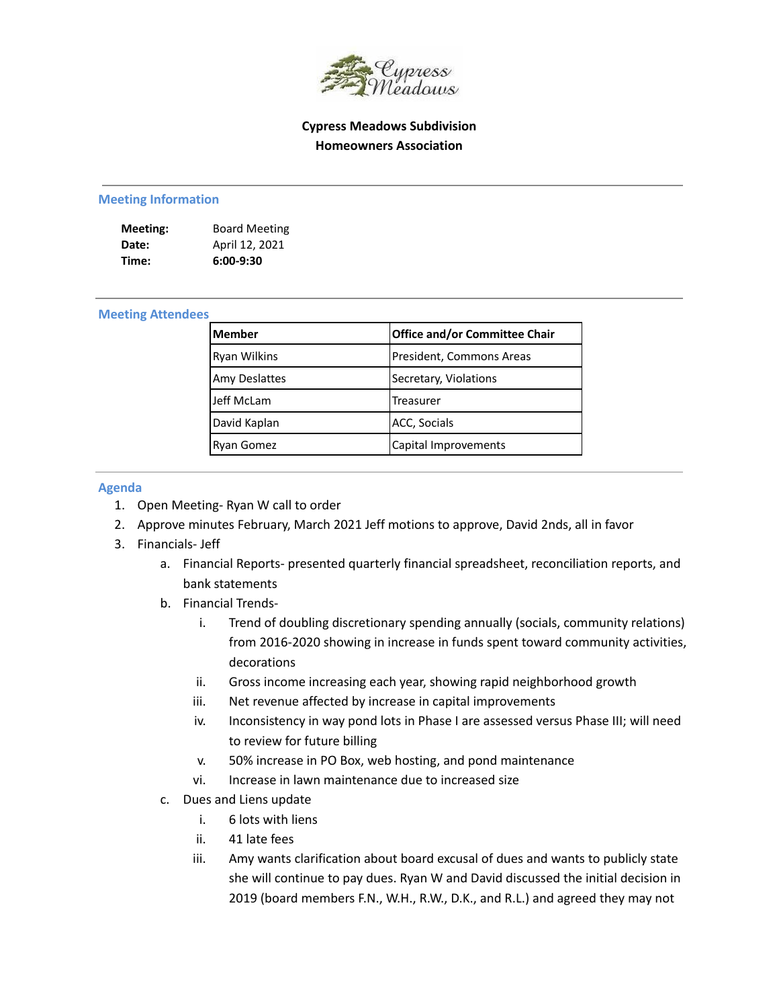

# **Cypress Meadows Subdivision Homeowners Association**

## **Meeting Information**

| Meeting: | <b>Board Meeting</b> |
|----------|----------------------|
| Date:    | April 12, 2021       |
| Time:    | $6:00-9:30$          |

#### **Meeting Attendees**

| <b>Member</b>        | <b>Office and/or Committee Chair</b> |  |
|----------------------|--------------------------------------|--|
| <b>Ryan Wilkins</b>  | President, Commons Areas             |  |
| <b>Amy Deslattes</b> | Secretary, Violations                |  |
| Jeff McLam           | Treasurer                            |  |
| David Kaplan         | ACC, Socials                         |  |
| Ryan Gomez           | Capital Improvements                 |  |

### **Agenda**

- 1. Open Meeting- Ryan W call to order
- 2. Approve minutes February, March 2021 Jeff motions to approve, David 2nds, all in favor
- 3. Financials- Jeff
	- a. Financial Reports- presented quarterly financial spreadsheet, reconciliation reports, and bank statements
	- b. Financial Trends
		- i. Trend of doubling discretionary spending annually (socials, community relations) from 2016-2020 showing in increase in funds spent toward community activities, decorations
		- ii. Gross income increasing each year, showing rapid neighborhood growth
		- iii. Net revenue affected by increase in capital improvements
		- iv. Inconsistency in way pond lots in Phase I are assessed versus Phase III; will need to review for future billing
		- v. 50% increase in PO Box, web hosting, and pond maintenance
		- vi. Increase in lawn maintenance due to increased size
	- c. Dues and Liens update
		- i. 6 lots with liens
		- ii. 41 late fees
		- iii. Amy wants clarification about board excusal of dues and wants to publicly state she will continue to pay dues. Ryan W and David discussed the initial decision in 2019 (board members F.N., W.H., R.W., D.K., and R.L.) and agreed they may not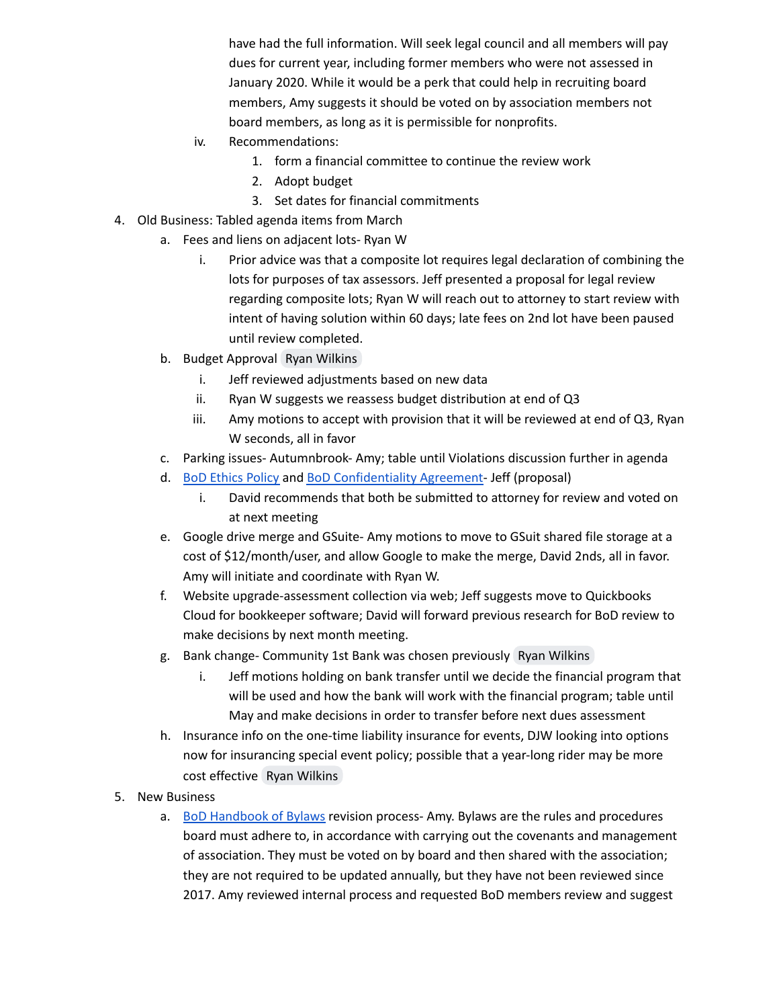have had the full information. Will seek legal council and all members will pay dues for current year, including former members who were not assessed in January 2020. While it would be a perk that could help in recruiting board members, Amy suggests it should be voted on by association members not board members, as long as it is permissible for nonprofits.

- iv. Recommendations:
	- 1. form a financial committee to continue the review work
	- 2. Adopt budget
	- 3. Set dates for financial commitments
- 4. Old Business: Tabled agenda items from March
	- a. Fees and liens on adjacent lots- Ryan W
		- i. Prior advice was that a composite lot requires legal declaration of combining the lots for purposes of tax assessors. Jeff presented a proposal for legal review regarding composite lots; Ryan W will reach out to attorney to start review with intent of having solution within 60 days; late fees on 2nd lot have been paused until review completed.
	- b. Budget Approval Ryan [Wilkins](mailto:ryan@wilkinsworkwear.com)
		- i. Jeff reviewed adjustments based on new data
		- ii. Ryan W suggests we reassess budget distribution at end of Q3
		- iii. Amy motions to accept with provision that it will be reviewed at end of Q3, Ryan W seconds, all in favor
	- c. Parking issues- Autumnbrook- Amy; table until Violations discussion further in agenda
	- d. BoD [Ethics](https://drive.google.com/file/d/1gQ4hMrTQD7rVHbtbJORHi0ohv-GSbayP/view) Policy and BoD [Confidentiality](https://drive.google.com/file/d/1MoYq0KmraAiJjYR0fnMgH1u1CSiduk02/view?usp=sharing) Agreement- Jeff (proposal)
		- i. David recommends that both be submitted to attorney for review and voted on at next meeting
	- e. Google drive merge and GSuite- Amy motions to move to GSuit shared file storage at a cost of \$12/month/user, and allow Google to make the merge, David 2nds, all in favor. Amy will initiate and coordinate with Ryan W.
	- f. Website upgrade-assessment collection via web; Jeff suggests move to Quickbooks Cloud for bookkeeper software; David will forward previous research for BoD review to make decisions by next month meeting.
	- g. Bank change- Community 1st Bank was chosen previously Ryan [Wilkins](mailto:ryan@wilkinsworkwear.com)
		- i. Jeff motions holding on bank transfer until we decide the financial program that will be used and how the bank will work with the financial program; table until May and make decisions in order to transfer before next dues assessment
	- h. Insurance info on the one-time liability insurance for events, DJW looking into options now for insurancing special event policy; possible that a year-long rider may be more cost effective Ryan [Wilkins](mailto:ryan@wilkinsworkwear.com)
- 5. New Business
	- a. BoD [Handbook](https://docs.google.com/document/d/1hK-DXIxsH3JHYlxSn0Xzm43GFlaeAxkyI9_gf7UNIPc/edit) of Bylaws revision process- Amy. Bylaws are the rules and procedures board must adhere to, in accordance with carrying out the covenants and management of association. They must be voted on by board and then shared with the association; they are not required to be updated annually, but they have not been reviewed since 2017. Amy reviewed internal process and requested BoD members review and suggest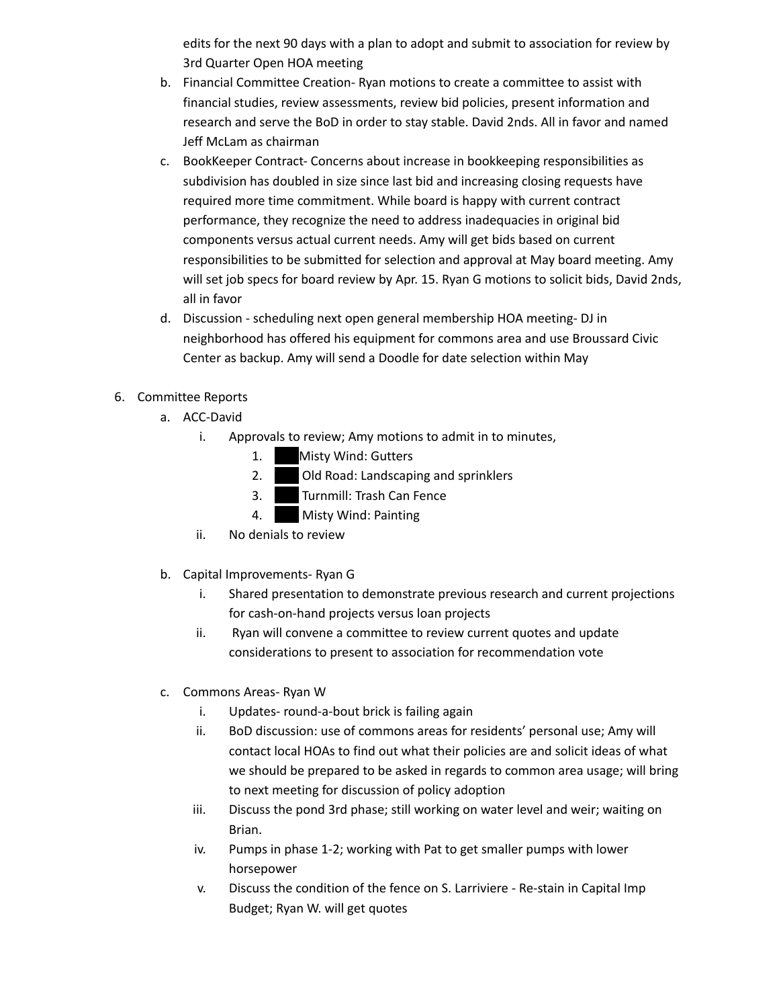edits for the next 90 days with a plan to adopt and submit to association for review by 3rd Quarter Open HOA meeting

- b. Financial Committee Creation- Ryan motions to create a committee to assist with financial studies, review assessments, review bid policies, present information and research and serve the BoD in order to stay stable. David 2nds. All in favor and named Jeff McLam as chairman
- c. BookKeeper Contract- Concerns about increase in bookkeeping responsibilities as subdivision has doubled in size since last bid and increasing closing requests have required more time commitment. While board is happy with current contract performance, they recognize the need to address inadequacies in original bid components versus actual current needs. Amy will get bids based on current responsibilities to be submitted for selection and approval at May board meeting. Amy will set job specs for board review by Apr. 15. Ryan G motions to solicit bids, David 2nds, all in favor
- d. Discussion scheduling next open general membership HOA meeting- DJ in neighborhood has offered his equipment for commons area and use Broussard Civic Center as backup. Amy will send a Doodle for date selection within May

# 6. Committee Reports

- a. ACC-David
	- i. Approvals to review; Amy motions to admit in to minutes,
		- 1. Misty Wind: Gutters
		- 2. \*\*\* Old Road: Landscaping and sprinklers
		- 3. Turnmill: Trash Can Fence
		- 4. Misty Wind: Painting
	- ii. No denials to review
- b. Capital Improvements- Ryan G
	- i. Shared presentation to demonstrate previous research and current projections for cash-on-hand projects versus loan projects
	- ii. Ryan will convene a committee to review current quotes and update considerations to present to association for recommendation vote
- c. Commons Areas- Ryan W
	- i. Updates- round-a-bout brick is failing again
	- ii. BoD discussion: use of commons areas for residents' personal use; Amy will contact local HOAs to find out what their policies are and solicit ideas of what we should be prepared to be asked in regards to common area usage; will bring to next meeting for discussion of policy adoption
	- iii. Discuss the pond 3rd phase; still working on water level and weir; waiting on Brian.
	- iv. Pumps in phase 1-2; working with Pat to get smaller pumps with lower horsepower
	- v. Discuss the condition of the fence on S. Larriviere Re-stain in Capital Imp Budget; Ryan W. will get quotes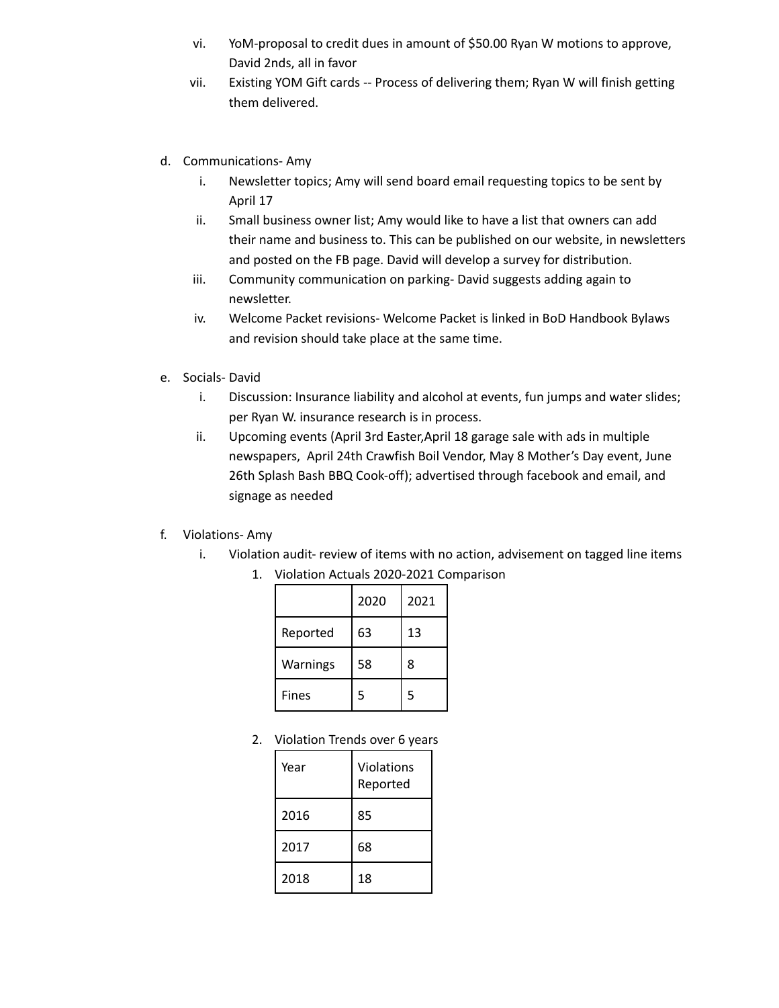- vi. YoM-proposal to credit dues in amount of \$50.00 Ryan W motions to approve, David 2nds, all in favor
- vii. Existing YOM Gift cards -- Process of delivering them; Ryan W will finish getting them delivered.
- d. Communications- Amy
	- i. Newsletter topics; Amy will send board email requesting topics to be sent by April 17
	- ii. Small business owner list; Amy would like to have a list that owners can add their name and business to. This can be published on our website, in newsletters and posted on the FB page. David will develop a survey for distribution.
	- iii. Community communication on parking- David suggests adding again to newsletter.
	- iv. Welcome Packet revisions- Welcome Packet is linked in BoD Handbook Bylaws and revision should take place at the same time.
- e. Socials- David
	- i. Discussion: Insurance liability and alcohol at events, fun jumps and water slides; per Ryan W. insurance research is in process.
	- ii. Upcoming events (April 3rd Easter,April 18 garage sale with ads in multiple newspapers, April 24th Crawfish Boil Vendor, May 8 Mother's Day event, June 26th Splash Bash BBQ Cook-off); advertised through facebook and email, and signage as needed
- f. Violations- Amy
	- i. Violation audit- review of items with no action, advisement on tagged line items

|              | 2020 | 2021 |
|--------------|------|------|
| Reported     | 63   | 13   |
| Warnings     | 58   | 8    |
| <b>Fines</b> | 5    | 5    |

1. Violation Actuals 2020-2021 Comparison

2. Violation Trends over 6 years

| Year | Violations<br>Reported |
|------|------------------------|
| 2016 | 85                     |
| 2017 | 68                     |
| 2018 | 18                     |